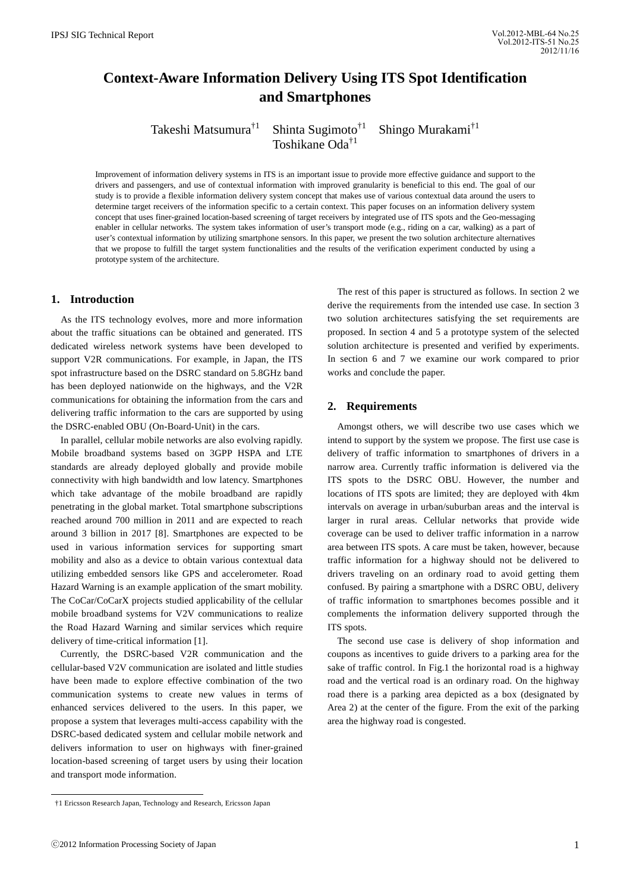# **Context-Aware Information Delivery Using ITS Spot Identification and Smartphones**

Takeshi Matsumura<sup>†1</sup> Shinta Sugimoto<sup>†1</sup> Shingo Murakami<sup>†1</sup> Toshikane Oda†1

Improvement of information delivery systems in ITS is an important issue to provide more effective guidance and support to the drivers and passengers, and use of contextual information with improved granularity is beneficial to this end. The goal of our study is to provide a flexible information delivery system concept that makes use of various contextual data around the users to determine target receivers of the information specific to a certain context. This paper focuses on an information delivery system concept that uses finer-grained location-based screening of target receivers by integrated use of ITS spots and the Geo-messaging enabler in cellular networks. The system takes information of user's transport mode (e.g., riding on a car, walking) as a part of user's contextual information by utilizing smartphone sensors. In this paper, we present the two solution architecture alternatives that we propose to fulfill the target system functionalities and the results of the verification experiment conducted by using a prototype system of the architecture.

# **1. Introduction**

 As the ITS technology evolves, more and more information about the traffic situations can be obtained and generated. ITS dedicated wireless network systems have been developed to support V2R communications. For example, in Japan, the ITS spot infrastructure based on the DSRC standard on 5.8GHz band has been deployed nationwide on the highways, and the V2R communications for obtaining the information from the cars and delivering traffic information to the cars are supported by using the DSRC-enabled OBU (On-Board-Unit) in the cars.

In parallel, cellular mobile networks are also evolving rapidly. Mobile broadband systems based on 3GPP HSPA and LTE standards are already deployed globally and provide mobile connectivity with high bandwidth and low latency. Smartphones which take advantage of the mobile broadband are rapidly penetrating in the global market. Total smartphone subscriptions reached around 700 million in 2011 and are expected to reach around 3 billion in 2017 [8]. Smartphones are expected to be used in various information services for supporting smart mobility and also as a device to obtain various contextual data utilizing embedded sensors like GPS and accelerometer. Road Hazard Warning is an example application of the smart mobility. The CoCar/CoCarX projects studied applicability of the cellular mobile broadband systems for V2V communications to realize the Road Hazard Warning and similar services which require delivery of time-critical information [1].

Currently, the DSRC-based V2R communication and the cellular-based V2V communication are isolated and little studies have been made to explore effective combination of the two communication systems to create new values in terms of enhanced services delivered to the users. In this paper, we propose a system that leverages multi-access capability with the DSRC-based dedicated system and cellular mobile network and delivers information to user on highways with finer-grained location-based screening of target users by using their location and transport mode information.

 The rest of this paper is structured as follows. In section 2 we derive the requirements from the intended use case. In section 3 two solution architectures satisfying the set requirements are proposed. In section 4 and 5 a prototype system of the selected solution architecture is presented and verified by experiments. In section 6 and 7 we examine our work compared to prior works and conclude the paper.

# **2. Requirements**

 Amongst others, we will describe two use cases which we intend to support by the system we propose. The first use case is delivery of traffic information to smartphones of drivers in a narrow area. Currently traffic information is delivered via the ITS spots to the DSRC OBU. However, the number and locations of ITS spots are limited; they are deployed with 4km intervals on average in urban/suburban areas and the interval is larger in rural areas. Cellular networks that provide wide coverage can be used to deliver traffic information in a narrow area between ITS spots. A care must be taken, however, because traffic information for a highway should not be delivered to drivers traveling on an ordinary road to avoid getting them confused. By pairing a smartphone with a DSRC OBU, delivery of traffic information to smartphones becomes possible and it complements the information delivery supported through the ITS spots.

 The second use case is delivery of shop information and coupons as incentives to guide drivers to a parking area for the sake of traffic control. In Fig.1 the horizontal road is a highway road and the vertical road is an ordinary road. On the highway road there is a parking area depicted as a box (designated by Area 2) at the center of the figure. From the exit of the parking area the highway road is congested.

 $\overline{a}$ 

 <sup>†1</sup> Ericsson Research Japan, Technology and Research, Ericsson Japan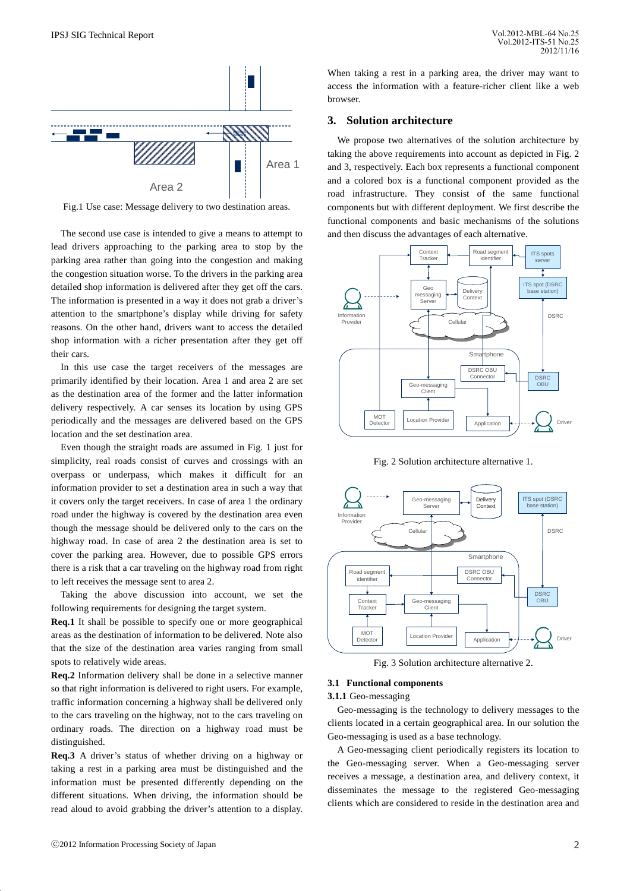

Fig.1 Use case: Message delivery to two destination areas.

 The second use case is intended to give a means to attempt to lead drivers approaching to the parking area to stop by the parking area rather than going into the congestion and making the congestion situation worse. To the drivers in the parking area detailed shop information is delivered after they get off the cars. The information is presented in a way it does not grab a driver's attention to the smartphone's display while driving for safety reasons. On the other hand, drivers want to access the detailed shop information with a richer presentation after they get off their cars.

 In this use case the target receivers of the messages are primarily identified by their location. Area 1 and area 2 are set as the destination area of the former and the latter information delivery respectively. A car senses its location by using GPS periodically and the messages are delivered based on the GPS location and the set destination area.

 Even though the straight roads are assumed in Fig. 1 just for simplicity, real roads consist of curves and crossings with an overpass or underpass, which makes it difficult for an information provider to set a destination area in such a way that it covers only the target receivers. In case of area 1 the ordinary road under the highway is covered by the destination area even though the message should be delivered only to the cars on the highway road. In case of area 2 the destination area is set to cover the parking area. However, due to possible GPS errors there is a risk that a car traveling on the highway road from right to left receives the message sent to area 2.

 Taking the above discussion into account, we set the following requirements for designing the target system.

**Req.1** It shall be possible to specify one or more geographical areas as the destination of information to be delivered. Note also that the size of the destination area varies ranging from small spots to relatively wide areas.

**Req.2** Information delivery shall be done in a selective manner so that right information is delivered to right users. For example, traffic information concerning a highway shall be delivered only to the cars traveling on the highway, not to the cars traveling on ordinary roads. The direction on a highway road must be distinguished.

**Req.3** A driver's status of whether driving on a highway or taking a rest in a parking area must be distinguished and the information must be presented differently depending on the different situations. When driving, the information should be read aloud to avoid grabbing the driver's attention to a display.

When taking a rest in a parking area, the driver may want to access the information with a feature-richer client like a web browser.

# **3. Solution architecture**

 We propose two alternatives of the solution architecture by taking the above requirements into account as depicted in Fig. 2 and 3, respectively. Each box represents a functional component and a colored box is a functional component provided as the road infrastructure. They consist of the same functional components but with different deployment. We first describe the functional components and basic mechanisms of the solutions and then discuss the advantages of each alternative.



Fig. 2 Solution architecture alternative 1.



Fig. 3 Solution architecture alternative 2.

#### **3.1 Functional components**

#### **3.1.1** Geo-messaging

 Geo-messaging is the technology to delivery messages to the clients located in a certain geographical area. In our solution the Geo-messaging is used as a base technology.

 A Geo-messaging client periodically registers its location to the Geo-messaging server. When a Geo-messaging server receives a message, a destination area, and delivery context, it disseminates the message to the registered Geo-messaging clients which are considered to reside in the destination area and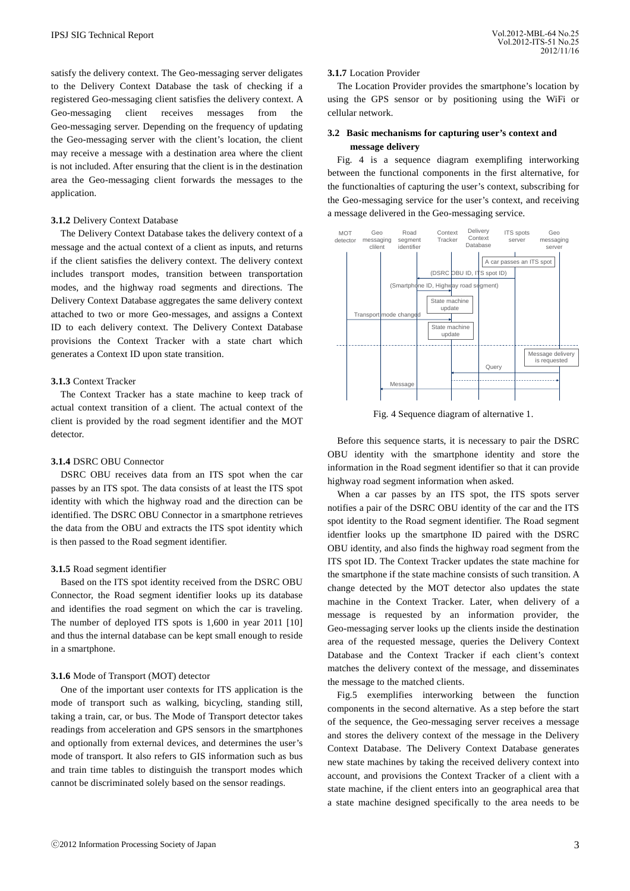Vol.2012-MBL-64 No.25 Vol.2012-ITS-51 No.25 2012/11/16

satisfy the delivery context. The Geo-messaging server deligates to the Delivery Context Database the task of checking if a registered Geo-messaging client satisfies the delivery context. A Geo-messaging client receives messages from the Geo-messaging server. Depending on the frequency of updating the Geo-messaging server with the client's location, the client may receive a message with a destination area where the client is not included. After ensuring that the client is in the destination area the Geo-messaging client forwards the messages to the application.

## **3.1.2** Delivery Context Database

The Delivery Context Database takes the delivery context of a message and the actual context of a client as inputs, and returns if the client satisfies the delivery context. The delivery context includes transport modes, transition between transportation modes, and the highway road segments and directions. The Delivery Context Database aggregates the same delivery context attached to two or more Geo-messages, and assigns a Context ID to each delivery context. The Delivery Context Database provisions the Context Tracker with a state chart which generates a Context ID upon state transition.

## **3.1.3** Context Tracker

The Context Tracker has a state machine to keep track of actual context transition of a client. The actual context of the client is provided by the road segment identifier and the MOT detector.

# **3.1.4** DSRC OBU Connector

 DSRC OBU receives data from an ITS spot when the car passes by an ITS spot. The data consists of at least the ITS spot identity with which the highway road and the direction can be identified. The DSRC OBU Connector in a smartphone retrieves the data from the OBU and extracts the ITS spot identity which is then passed to the Road segment identifier.

#### **3.1.5** Road segment identifier

 Based on the ITS spot identity received from the DSRC OBU Connector, the Road segment identifier looks up its database and identifies the road segment on which the car is traveling. The number of deployed ITS spots is 1,600 in year 2011 [10] and thus the internal database can be kept small enough to reside in a smartphone.

#### **3.1.6** Mode of Transport (MOT) detector

 One of the important user contexts for ITS application is the mode of transport such as walking, bicycling, standing still, taking a train, car, or bus. The Mode of Transport detector takes readings from acceleration and GPS sensors in the smartphones and optionally from external devices, and determines the user's mode of transport. It also refers to GIS information such as bus and train time tables to distinguish the transport modes which cannot be discriminated solely based on the sensor readings.

## **3.1.7** Location Provider

 The Location Provider provides the smartphone's location by using the GPS sensor or by positioning using the WiFi or cellular network.

# **3.2 Basic mechanisms for capturing user's context and message delivery**

Fig. 4 is a sequence diagram exemplifing interworking between the functional components in the first alternative, for the functionalties of capturing the user's context, subscribing for the Geo-messaging service for the user's context, and receiving a message delivered in the Geo-messaging service.



Fig. 4 Sequence diagram of alternative 1.

 Before this sequence starts, it is necessary to pair the DSRC OBU identity with the smartphone identity and store the information in the Road segment identifier so that it can provide highway road segment information when asked.

 When a car passes by an ITS spot, the ITS spots server notifies a pair of the DSRC OBU identity of the car and the ITS spot identity to the Road segment identifier. The Road segment identfier looks up the smartphone ID paired with the DSRC OBU identity, and also finds the highway road segment from the ITS spot ID. The Context Tracker updates the state machine for the smartphone if the state machine consists of such transition. A change detected by the MOT detector also updates the state machine in the Context Tracker. Later, when delivery of a message is requested by an information provider, the Geo-messaging server looks up the clients inside the destination area of the requested message, queries the Delivery Context Database and the Context Tracker if each client's context matches the delivery context of the message, and disseminates the message to the matched clients.

Fig.5 exemplifies interworking between the function components in the second alternative. As a step before the start of the sequence, the Geo-messaging server receives a message and stores the delivery context of the message in the Delivery Context Database. The Delivery Context Database generates new state machines by taking the received delivery context into account, and provisions the Context Tracker of a client with a state machine, if the client enters into an geographical area that a state machine designed specifically to the area needs to be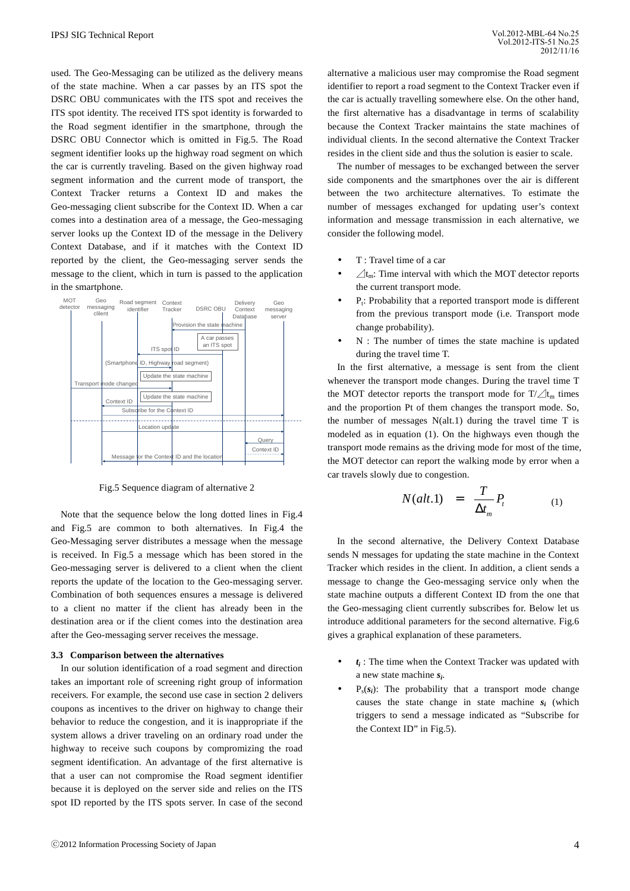used. The Geo-Messaging can be utilized as the delivery means of the state machine. When a car passes by an ITS spot the DSRC OBU communicates with the ITS spot and receives the ITS spot identity. The received ITS spot identity is forwarded to the Road segment identifier in the smartphone, through the DSRC OBU Connector which is omitted in Fig.5. The Road segment identifier looks up the highway road segment on which the car is currently traveling. Based on the given highway road segment information and the current mode of transport, the Context Tracker returns a Context ID and makes the Geo-messaging client subscribe for the Context ID. When a car comes into a destination area of a message, the Geo-messaging server looks up the Context ID of the message in the Delivery Context Database, and if it matches with the Context ID reported by the client, the Geo-messaging server sends the message to the client, which in turn is passed to the application in the smartphone.



Fig.5 Sequence diagram of alternative 2

 Note that the sequence below the long dotted lines in Fig.4 and Fig.5 are common to both alternatives. In Fig.4 the Geo-Messaging server distributes a message when the message is received. In Fig.5 a message which has been stored in the Geo-messaging server is delivered to a client when the client reports the update of the location to the Geo-messaging server. Combination of both sequences ensures a message is delivered to a client no matter if the client has already been in the destination area or if the client comes into the destination area after the Geo-messaging server receives the message.

#### **3.3 Comparison between the alternatives**

 In our solution identification of a road segment and direction takes an important role of screening right group of information receivers. For example, the second use case in section 2 delivers coupons as incentives to the driver on highway to change their behavior to reduce the congestion, and it is inappropriate if the system allows a driver traveling on an ordinary road under the highway to receive such coupons by compromizing the road segment identification. An advantage of the first alternative is that a user can not compromise the Road segment identifier because it is deployed on the server side and relies on the ITS spot ID reported by the ITS spots server. In case of the second alternative a malicious user may compromise the Road segment identifier to report a road segment to the Context Tracker even if the car is actually travelling somewhere else. On the other hand, the first alternative has a disadvantage in terms of scalability because the Context Tracker maintains the state machines of individual clients. In the second alternative the Context Tracker resides in the client side and thus the solution is easier to scale.

The number of messages to be exchanged between the server side components and the smartphones over the air is different between the two architecture alternatives. To estimate the number of messages exchanged for updating user's context information and message transmission in each alternative, we consider the following model.

- T : Travel time of a car
- $\sqrt{t_m}$ : Time interval with which the MOT detector reports the current transport mode.
- $\bullet$   $\bullet$   $\bullet$  P<sub>t</sub>: Probability that a reported transport mode is different from the previous transport mode (i.e. Transport mode change probability).
- N : The number of times the state machine is updated during the travel time T.

 In the first alternative, a message is sent from the client whenever the transport mode changes. During the travel time T the MOT detector reports the transport mode for  $T/\angle t_m$  times and the proportion Pt of them changes the transport mode. So, the number of messages  $N(alt.1)$  during the travel time T is modeled as in equation (1). On the highways even though the transport mode remains as the driving mode for most of the time, the MOT detector can report the walking mode by error when a car travels slowly due to congestion.

$$
N(alt.1) = \frac{T}{\Delta t_m} P_t \tag{1}
$$

In the second alternative, the Delivery Context Database sends N messages for updating the state machine in the Context Tracker which resides in the client. In addition, a client sends a message to change the Geo-messaging service only when the state machine outputs a different Context ID from the one that the Geo-messaging client currently subscribes for. Below let us introduce additional parameters for the second alternative. Fig.6 gives a graphical explanation of these parameters.

- $\bullet$   $t_i$ : The time when the Context Tracker was updated with a new state machine *s<sup>i</sup>* .
- $\bullet$   $P_s(s_i)$ : The probability that a transport mode change causes the state change in state machine  $s_i$  (which triggers to send a message indicated as "Subscribe for the Context ID" in Fig.5).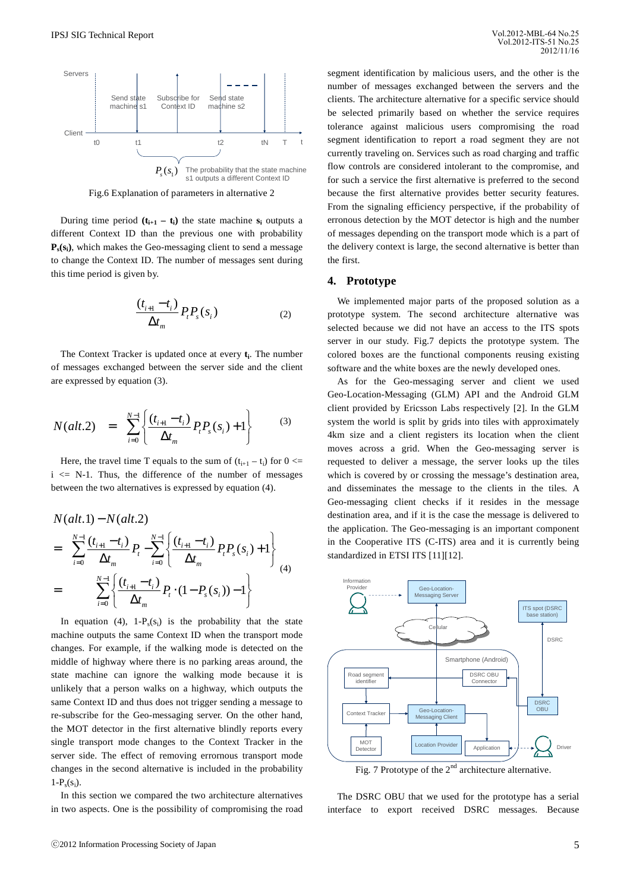

Fig.6 Explanation of parameters in alternative 2

During time period  $(t_{i+1} - t_i)$  the state machine  $s_i$  outputs a different Context ID than the previous one with probability **Ps (si )**, which makes the Geo-messaging client to send a message to change the Context ID. The number of messages sent during this time period is given by.

$$
\frac{(t_{i+1} - t_i)}{\Delta t_m} P_t P_s(s_i)
$$
\n(2)

The Context Tracker is updated once at every **t<sup>i</sup>** . The number of messages exchanged between the server side and the client are expressed by equation (3).

$$
N(alt.2) = \sum_{i=0}^{N-1} \left\{ \frac{(t_{i+1} - t_i)}{\Delta t_m} P_i P_s(s_i) + 1 \right\}
$$
(3)

Here, the travel time T equals to the sum of  $(t_{i+1} - t_i)$  for  $0 \le t$  $i \leq N-1$ . Thus, the difference of the number of messages between the two alternatives is expressed by equation (4).

$$
N(alt.1) - N(alt.2)
$$
  
= 
$$
\sum_{i=0}^{N-1} \frac{(t_{i+1} - t_i)}{\Delta t_m} P_t - \sum_{i=0}^{N-1} \left\{ \frac{(t_{i+1} - t_i)}{\Delta t_m} P_t P_s(s_i) + 1 \right\}
$$
  
= 
$$
\sum_{i=0}^{N-1} \left\{ \frac{(t_{i+1} - t_i)}{\Delta t_m} P_t \cdot (1 - P_s(s_i)) - 1 \right\}
$$
 (4)

In equation (4),  $1-P_s(s_i)$  is the probability that the state machine outputs the same Context ID when the transport mode changes. For example, if the walking mode is detected on the middle of highway where there is no parking areas around, the state machine can ignore the walking mode because it is unlikely that a person walks on a highway, which outputs the same Context ID and thus does not trigger sending a message to re-subscribe for the Geo-messaging server. On the other hand, the MOT detector in the first alternative blindly reports every single transport mode changes to the Context Tracker in the server side. The effect of removing errornous transport mode changes in the second alternative is included in the probability  $1-P_s(s_i)$ .

 In this section we compared the two architecture alternatives in two aspects. One is the possibility of compromising the road segment identification by malicious users, and the other is the number of messages exchanged between the servers and the clients. The architecture alternative for a specific service should be selected primarily based on whether the service requires tolerance against malicious users compromising the road segment identification to report a road segment they are not currently traveling on. Services such as road charging and traffic flow controls are considered intolerant to the compromise, and for such a service the first alternative is preferred to the second because the first alternative provides better security features. From the signaling efficiency perspective, if the probability of erronous detection by the MOT detector is high and the number of messages depending on the transport mode which is a part of the delivery context is large, the second alternative is better than the first.

# **4. Prototype**

 We implemented major parts of the proposed solution as a prototype system. The second architecture alternative was selected because we did not have an access to the ITS spots server in our study. Fig.7 depicts the prototype system. The colored boxes are the functional components reusing existing software and the white boxes are the newly developed ones.

 As for the Geo-messaging server and client we used Geo-Location-Messaging (GLM) API and the Android GLM client provided by Ericsson Labs respectively [2]. In the GLM system the world is split by grids into tiles with approximately 4km size and a client registers its location when the client moves across a grid. When the Geo-messaging server is requested to deliver a message, the server looks up the tiles which is covered by or crossing the message's destination area, and disseminates the message to the clients in the tiles. A Geo-messaging client checks if it resides in the message destination area, and if it is the case the message is delivered to the application. The Geo-messaging is an important component in the Cooperative ITS (C-ITS) area and it is currently being standardized in ETSI ITS [11][12].



Fig. 7 Prototype of the  $2<sup>nd</sup>$  architecture alternative.

 The DSRC OBU that we used for the prototype has a serial interface to export received DSRC messages. Because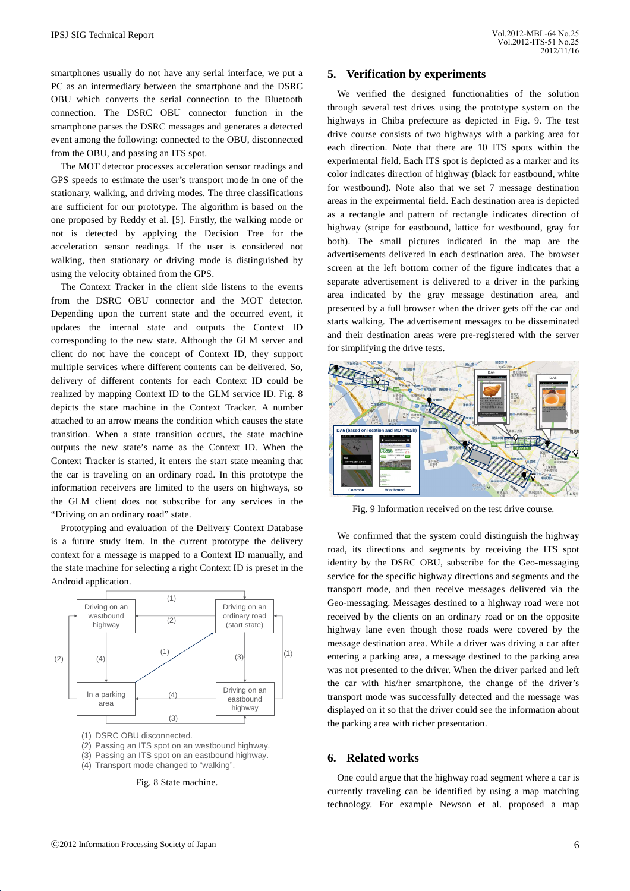smartphones usually do not have any serial interface, we put a PC as an intermediary between the smartphone and the DSRC OBU which converts the serial connection to the Bluetooth connection. The DSRC OBU connector function in the smartphone parses the DSRC messages and generates a detected event among the following: connected to the OBU, disconnected from the OBU, and passing an ITS spot.

 The MOT detector processes acceleration sensor readings and GPS speeds to estimate the user's transport mode in one of the stationary, walking, and driving modes. The three classifications are sufficient for our prototype. The algorithm is based on the one proposed by Reddy et al. [5]. Firstly, the walking mode or not is detected by applying the Decision Tree for the acceleration sensor readings. If the user is considered not walking, then stationary or driving mode is distinguished by using the velocity obtained from the GPS.

 The Context Tracker in the client side listens to the events from the DSRC OBU connector and the MOT detector. Depending upon the current state and the occurred event, it updates the internal state and outputs the Context ID corresponding to the new state. Although the GLM server and client do not have the concept of Context ID, they support multiple services where different contents can be delivered. So, delivery of different contents for each Context ID could be realized by mapping Context ID to the GLM service ID. Fig. 8 depicts the state machine in the Context Tracker. A number attached to an arrow means the condition which causes the state transition. When a state transition occurs, the state machine outputs the new state's name as the Context ID. When the Context Tracker is started, it enters the start state meaning that the car is traveling on an ordinary road. In this prototype the information receivers are limited to the users on highways, so the GLM client does not subscribe for any services in the "Driving on an ordinary road" state.

 Prototyping and evaluation of the Delivery Context Database is a future study item. In the current prototype the delivery context for a message is mapped to a Context ID manually, and the state machine for selecting a right Context ID is preset in the Android application.



- (1) DSRC OBU disconnected.
- (2) Passing an ITS spot on an westbound highway.
- (3) Passing an ITS spot on an eastbound highway.
- (4) Transport mode changed to "walking".

Fig. 8 State machine.

# **5. Verification by experiments**

 We verified the designed functionalities of the solution through several test drives using the prototype system on the highways in Chiba prefecture as depicted in Fig. 9. The test drive course consists of two highways with a parking area for each direction. Note that there are 10 ITS spots within the experimental field. Each ITS spot is depicted as a marker and its color indicates direction of highway (black for eastbound, white for westbound). Note also that we set 7 message destination areas in the expeirmental field. Each destination area is depicted as a rectangle and pattern of rectangle indicates direction of highway (stripe for eastbound, lattice for westbound, gray for both). The small pictures indicated in the map are the advertisements delivered in each destination area. The browser screen at the left bottom corner of the figure indicates that a separate advertisement is delivered to a driver in the parking area indicated by the gray message destination area, and presented by a full browser when the driver gets off the car and starts walking. The advertisement messages to be disseminated and their destination areas were pre-registered with the server for simplifying the drive tests.



Fig. 9 Information received on the test drive course.

 We confirmed that the system could distinguish the highway road, its directions and segments by receiving the ITS spot identity by the DSRC OBU, subscribe for the Geo-messaging service for the specific highway directions and segments and the transport mode, and then receive messages delivered via the Geo-messaging. Messages destined to a highway road were not received by the clients on an ordinary road or on the opposite highway lane even though those roads were covered by the message destination area. While a driver was driving a car after entering a parking area, a message destined to the parking area was not presented to the driver. When the driver parked and left the car with his/her smartphone, the change of the driver's transport mode was successfully detected and the message was displayed on it so that the driver could see the information about the parking area with richer presentation.

## **6. Related works**

 One could argue that the highway road segment where a car is currently traveling can be identified by using a map matching technology. For example Newson et al. proposed a map